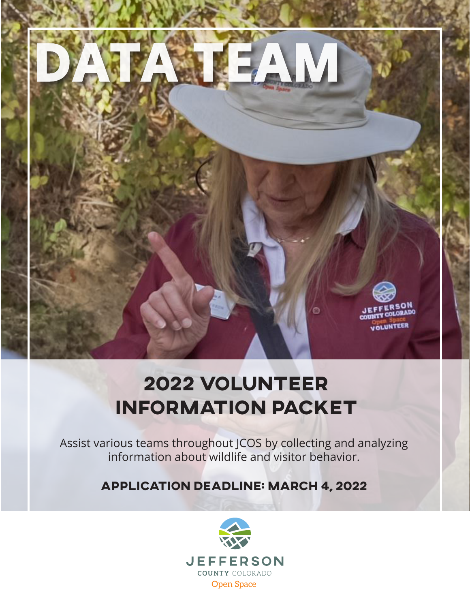

# **2022 VOLUNTEER INFORMATION PACKET**

Assist various teams throughout JCOS by collecting and analyzing information about wildlife and visitor behavior.

**APPLICATION DEADLINE: MARCH 4, 2022**

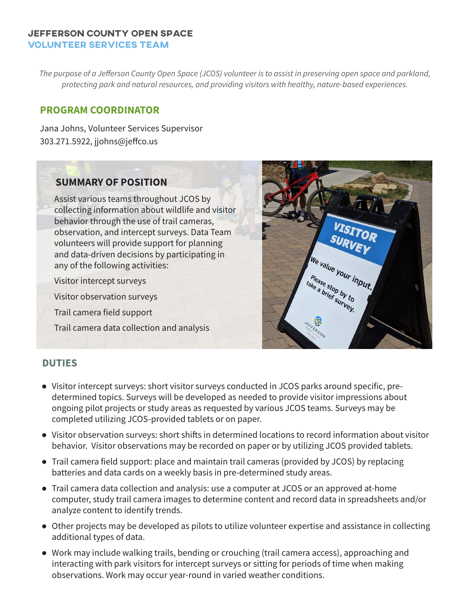#### **Jefferson County Open Space volunteer services team**

*The purpose of a Jefferson County Open Space (JCOS) volunteer is to assist in preserving open space and parkland, protecting park and natural resources, and providing visitors with healthy, nature-based experiences.*

# **PROGRAM COORDINATOR**

Jana Johns, Volunteer Services Supervisor 303.271.5922, jjohns@jeffco.us

# **SUMMARY OF POSITION**

Assist various teams throughout JCOS by collecting information about wildlife and visitor behavior through the use of trail cameras, observation, and intercept surveys. Data Team volunteers will provide support for planning and data-driven decisions by participating in any of the following activities:

Visitor intercept surveys

Visitor observation surveys

Trail camera field support

Trail camera data collection and analysis



## **DUTIES**

- Visitor intercept surveys: short visitor surveys conducted in JCOS parks around specific, predetermined topics. Surveys will be developed as needed to provide visitor impressions about ongoing pilot projects or study areas as requested by various JCOS teams. Surveys may be completed utilizing JCOS-provided tablets or on paper.
- Visitor observation surveys: short shifts in determined locations to record information about visitor behavior. Visitor observations may be recorded on paper or by utilizing JCOS provided tablets.
- Trail camera field support: place and maintain trail cameras (provided by JCOS) by replacing batteries and data cards on a weekly basis in pre-determined study areas.
- Trail camera data collection and analysis: use a computer at JCOS or an approved at-home computer, study trail camera images to determine content and record data in spreadsheets and/or analyze content to identify trends.
- Other projects may be developed as pilots to utilize volunteer expertise and assistance in collecting additional types of data.
- Work may include walking trails, bending or crouching (trail camera access), approaching and interacting with park visitors for intercept surveys or sitting for periods of time when making observations. Work may occur year-round in varied weather conditions.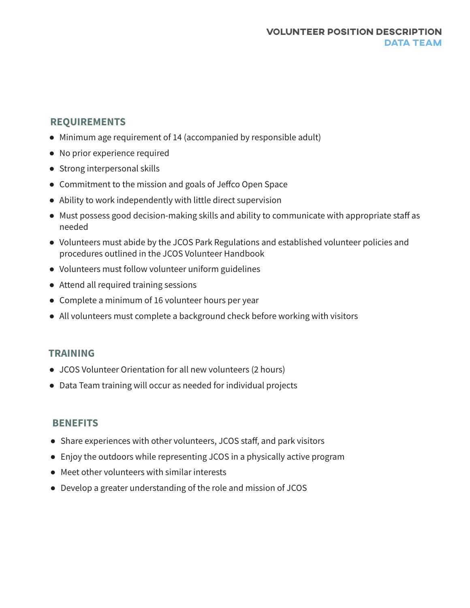#### **Volunteer Position Description DATA TEAM**

# **REQUIREMENTS**

- Minimum age requirement of 14 (accompanied by responsible adult)
- No prior experience required
- Strong interpersonal skills
- Commitment to the mission and goals of Jeffco Open Space
- Ability to work independently with little direct supervision
- Must possess good decision-making skills and ability to communicate with appropriate staff as needed
- Volunteers must abide by the JCOS Park Regulations and established volunteer policies and procedures outlined in the JCOS Volunteer Handbook
- Volunteers must follow volunteer uniform guidelines
- Attend all required training sessions
- Complete a minimum of 16 volunteer hours per year
- All volunteers must complete a background check before working with visitors

## **TRAINING**

- JCOS Volunteer Orientation for all new volunteers (2 hours)
- Data Team training will occur as needed for individual projects

# **BENEFITS**

- Share experiences with other volunteers, JCOS staff, and park visitors
- Enjoy the outdoors while representing JCOS in a physically active program
- Meet other volunteers with similar interests
- Develop a greater understanding of the role and mission of JCOS